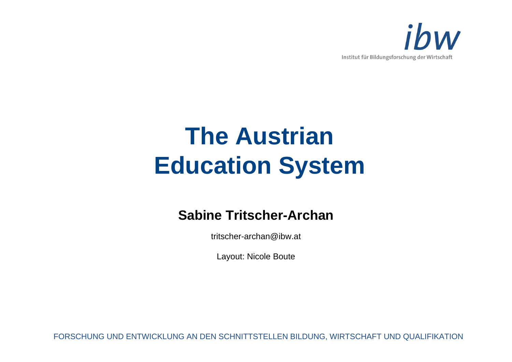

# **The Austrian Education System**

#### **Sabine Tritscher-Archan**

tritscher-archan@ibw.at

Layout: Nicole Boute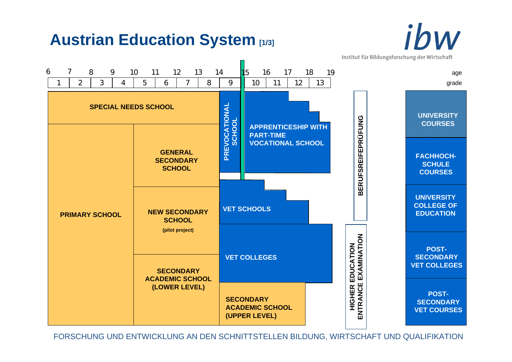## **Austrian Education System [1/3]**



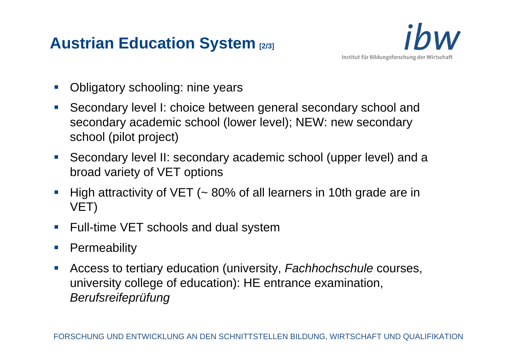# **Austrian Education System [2/3]**



- Obligatory schooling: nine years
- Secondary level I: choice between general secondary school and secondary academic school (lower level); NEW: new secondary school (pilot project)
- Secondary level II: secondary academic school (upper level) and a broad variety of VET options
- High attractivity of VET (~ 80% of all learners in 10th grade are in VET)
- Full-time VET schools and dual system
- **Permeability**
- $\mathcal{L}_{\mathcal{A}}$  Access to tertiary education (university, *Fachhochschule* courses, university college of education): HE entrance examination, *Berufsreifeprüfung*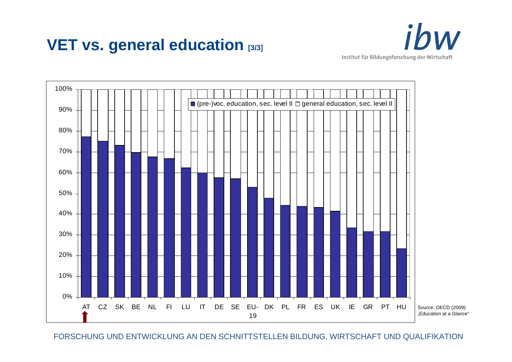### **VET vs. general education [3/3]**





Source: OECD (2009): .Education at a Glance"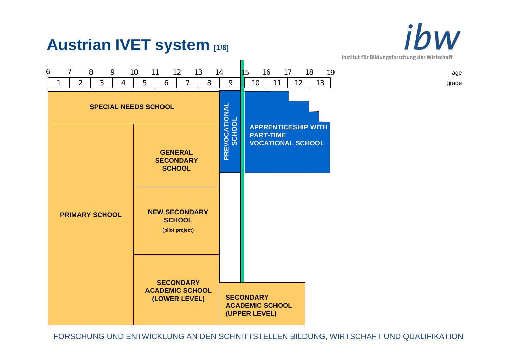ibw Institut für Bildungsforschung der Wirtschaft



**Austrian IVET system [1/8]**

#### FORSCHUNG UND ENTWICKLUNG AN DEN SCHNITTSTELLEN BILDUNG, WIRTSCHAFT UND QUALIFIKATION

age

grade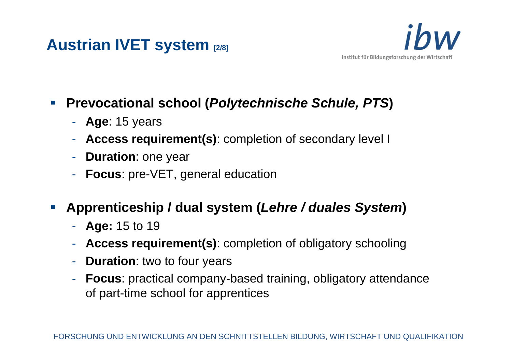### **Austrian IVET system [2/8]**



#### $\mathcal{L}_{\mathcal{A}}$ **Prevocational school (***Polytechnische Schule, PTS***)**

- **Age**: 15 years
- -**Access requirement(s)**: completion of secondary level I
- -- **Duration**: one year
- -**Focus**: pre-VET, general education
- $\mathbb{R}^n$  **Apprenticeship / dual system (***Lehre / duales System***)**
	- **Age:** 15 to 19
	- -**Access requirement(s)**: completion of obligatory schooling
	- -**Duration**: two to four years
	- **Focus**: practical company-based training, obligatory attendance of part-time school for apprentices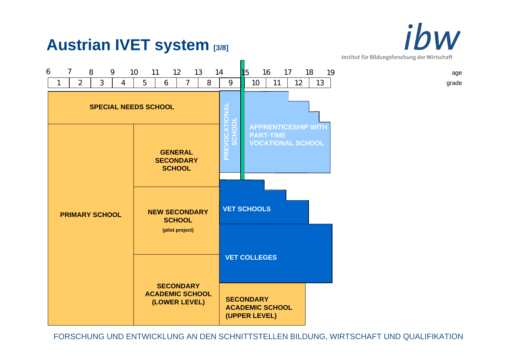



ibw Institut für Bildungsforschung der Wirtschaft

age

grade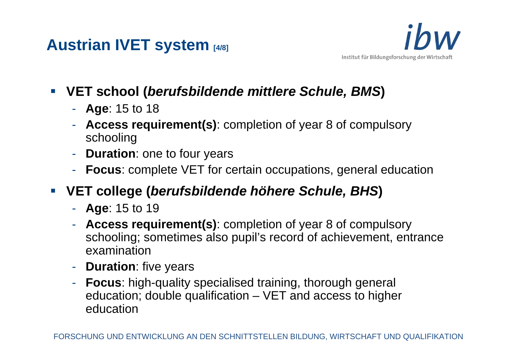



- $\mathbb{R}^n$  **VET school (***berufsbildende mittlere Schule, BMS***)**
	- **Age**: 15 to 18
	- - **Access requirement(s)**: completion of year 8 of compulsory schooling
	- -**Duration**: one to four years
	- -**Focus**: complete VET for certain occupations, general education
- **VET college (***berufsbildende höhere Schule, BHS***)**
	- **Age**: 15 to 19
	- - **Access requirement(s)**: completion of year 8 of compulsory schooling; sometimes also pupil's record of achievement, entrance examination
	- -**- Duration**: five years
	- **Focus**: high-quality specialised training, thorough general education; double qualification – VET and access to higher education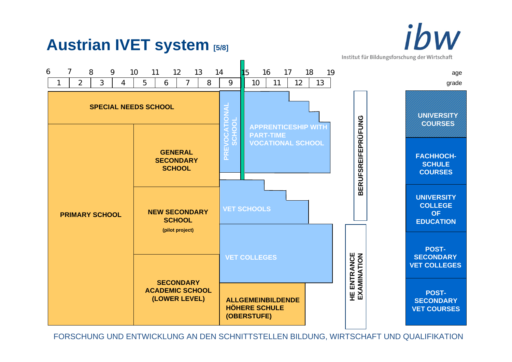

#### **Austrian IVET system [5/8]**

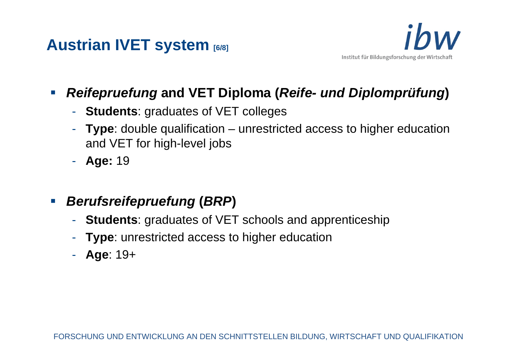



- $\overline{\mathbb{R}^n}$  *Reifepruefung* **and VET Diploma (***Reife- und Diplomprüfung***)**
	- -**Students**: graduates of VET colleges
	- - **Type**: double qualification – unrestricted access to higher education and VET for high-level jobs
	- **Age:** 19
- $\mathcal{L}_{\mathcal{A}}$  *Berufsreifepruefung* **(***BRP***)**
	- -**Students**: graduates of VET schools and apprenticeship
	- -**Type**: unrestricted access to higher education
	- **Age**: 19+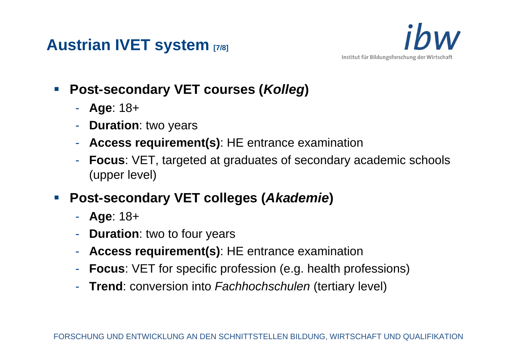



- **Post-secondary VET courses (***Kolleg***)**
	- **Age**: 18+
	- **Duration**: two years
	- **Access requirement(s)**: HE entrance examination
	- **Focus**: VET, targeted at graduates of secondary academic schools (upper level)
- p. **Post-secondary VET colleges (***Akademie***)**
	- **Age**: 18+
	- **Duration**: two to four years
	- -**Access requirement(s)**: HE entrance examination
	- **Focus**: VET for specific profession (e.g. health professions)
	- **Trend**: conversion into *Fachhochschulen* (tertiary level)